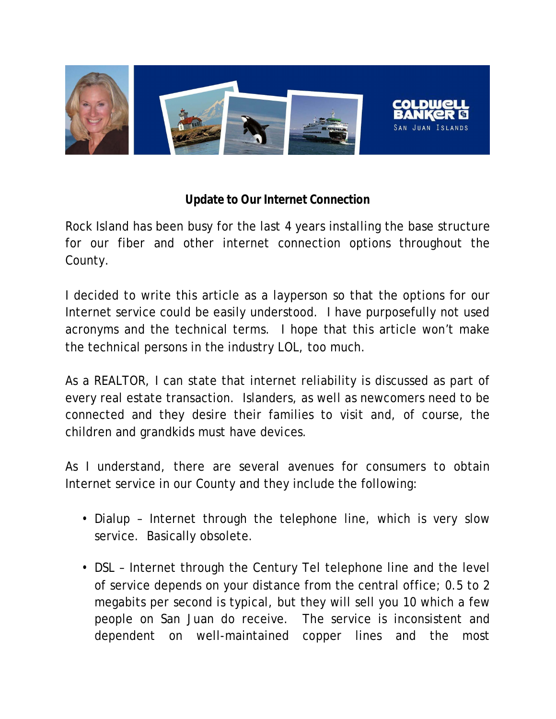

## **Update to Our Internet Connection**

Rock Island has been busy for the last 4 years installing the base structure for our fiber and other internet connection options throughout the County.

I decided to write this article as a layperson so that the options for our Internet service could be easily understood. I have purposefully not used acronyms and the technical terms. I hope that this article won't make the technical persons in the industry LOL, too much.

As a REALTOR, I can state that internet reliability is discussed as part of every real estate transaction. Islanders, as well as newcomers need to be connected and they desire their families to visit and, of course, the children and grandkids must have devices.

As I understand, there are several avenues for consumers to obtain Internet service in our County and they include the following:

- Dialup Internet through the telephone line, which is very slow service. Basically obsolete.
- DSL Internet through the Century Tel telephone line and the level of service depends on your distance from the central office; 0.5 to 2 megabits per second is typical, but they will sell you 10 which a few people on San Juan do receive. The service is inconsistent and dependent on well-maintained copper lines and the most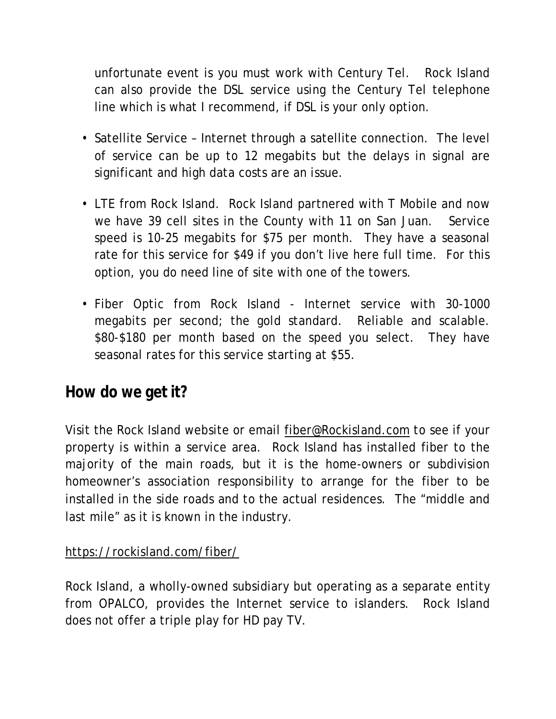unfortunate event is you must work with Century Tel. Rock Island can also provide the DSL service using the Century Tel telephone line which is what I recommend, if DSL is your only option.

- Satellite Service Internet through a satellite connection. The level of service can be up to 12 megabits but the delays in signal are significant and high data costs are an issue.
- LTE from Rock Island. Rock Island partnered with T Mobile and now we have 39 cell sites in the County with 11 on San Juan. Service speed is 10-25 megabits for \$75 per month. They have a seasonal rate for this service for \$49 if you don't live here full time. For this option, you do need line of site with one of the towers.
- Fiber Optic from Rock Island Internet service with 30-1000 megabits per second; the gold standard. Reliable and scalable. \$80-\$180 per month based on the speed you select. They have seasonal rates for this service starting at \$55.

## **How do we get it?**

Visit the Rock Island website or email fiber@Rockisland.com to see if your property is within a service area. Rock Island has installed fiber to the majority of the main roads, but it is the home-owners or subdivision homeowner's association responsibility to arrange for the fiber to be installed in the side roads and to the actual residences. The "middle and last mile" as it is known in the industry.

## https://rockisland.com/fiber/

Rock Island, a wholly-owned subsidiary but operating as a separate entity from OPALCO, provides the Internet service to islanders. Rock Island does not offer a triple play for HD pay TV.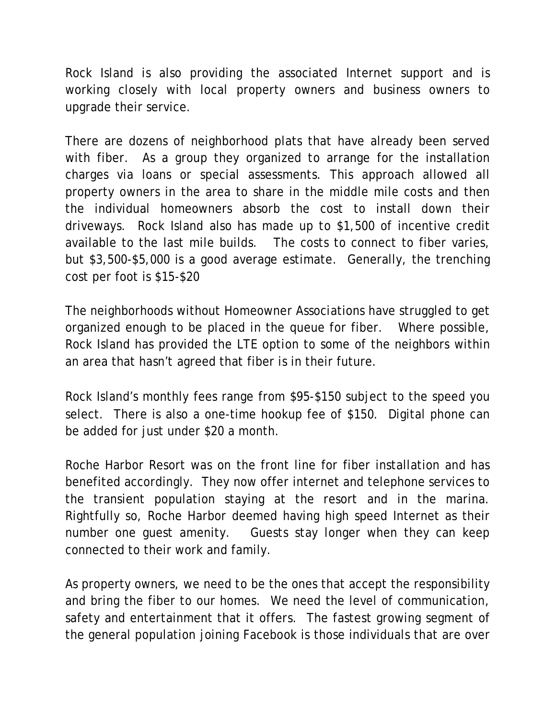Rock Island is also providing the associated Internet support and is working closely with local property owners and business owners to upgrade their service.

There are dozens of neighborhood plats that have already been served with fiber. As a group they organized to arrange for the installation charges via loans or special assessments. This approach allowed all property owners in the area to share in the middle mile costs and then the individual homeowners absorb the cost to install down their driveways. Rock Island also has made up to \$1,500 of incentive credit available to the last mile builds. The costs to connect to fiber varies, but \$3,500-\$5,000 is a good average estimate. Generally, the trenching cost per foot is \$15-\$20

The neighborhoods without Homeowner Associations have struggled to get organized enough to be placed in the queue for fiber. Where possible, Rock Island has provided the LTE option to some of the neighbors within an area that hasn't agreed that fiber is in their future.

Rock Island's monthly fees range from \$95-\$150 subject to the speed you select. There is also a one-time hookup fee of \$150. Digital phone can be added for just under \$20 a month.

Roche Harbor Resort was on the front line for fiber installation and has benefited accordingly. They now offer internet and telephone services to the transient population staying at the resort and in the marina. Rightfully so, Roche Harbor deemed having high speed Internet as their number one guest amenity. Guests stay longer when they can keep connected to their work and family.

As property owners, we need to be the ones that accept the responsibility and bring the fiber to our homes. We need the level of communication, safety and entertainment that it offers. The fastest growing segment of the general population joining Facebook is those individuals that are over